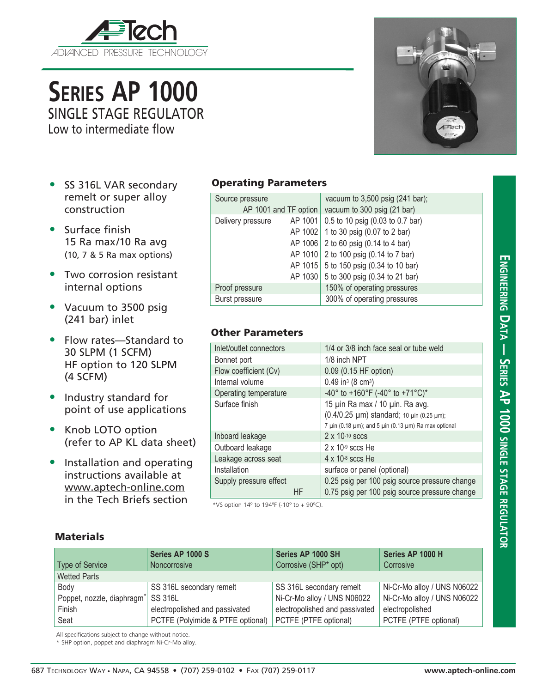

**Series AP 1000** SINGLE STAGE REGULATOR

Low to intermediate flow

- SS 316L VAR secondary remelt or super alloy construction
- Surface finish 15 Ra max/10 Ra avg (10, 7 & 5 Ra max options)
- Two corrosion resistant internal options
- Vacuum to 3500 psig (241 bar) inlet
- Flow rates—Standard to 30 SLPM (1 SCFM) HF option to 120 SLPM (4 SCFM)
- Industry standard for point of use applications
- Knob LOTO option (refer to AP KL data sheet)
- Installation and operating instructions available at www.aptech-online.com in the Tech Briefs section

## Operating Parameters

|  | Source pressure       |  | vacuum to 3,500 psig (241 bar);          |
|--|-----------------------|--|------------------------------------------|
|  | AP 1001 and TF option |  | vacuum to 300 psig (21 bar)              |
|  | Delivery pressure     |  | AP 1001 0.5 to 10 psig (0.03 to 0.7 bar) |
|  |                       |  | AP 1002 1 to 30 psig (0.07 to 2 bar)     |
|  |                       |  | AP 1006 2 to 60 psig (0.14 to 4 bar)     |
|  |                       |  | AP 1010 2 to 100 psig (0.14 to 7 bar)    |
|  |                       |  | AP 1015 5 to 150 psig (0.34 to 10 bar)   |
|  |                       |  | AP 1030 5 to 300 psig (0.34 to 21 bar)   |
|  | Proof pressure        |  | 150% of operating pressures              |
|  | Burst pressure        |  | 300% of operating pressures              |

## Other Parameters

| Inlet/outlet connectors |    | 1/4 or 3/8 inch face seal or tube weld                                                                                                                   |  |  |
|-------------------------|----|----------------------------------------------------------------------------------------------------------------------------------------------------------|--|--|
| Bonnet port             |    | 1/8 inch NPT                                                                                                                                             |  |  |
| Flow coefficient (Cv)   |    | 0.09 (0.15 HF option)                                                                                                                                    |  |  |
| Internal volume         |    | $0.49$ in <sup>3</sup> (8 cm <sup>3</sup> )                                                                                                              |  |  |
| Operating temperature   |    | -40° to +160°F (-40° to +71°C)*                                                                                                                          |  |  |
| Surface finish          |    | 15 µin Ra max / 10 µin. Ra avg.<br>(0.4/0.25 µm) standard; 10 µin (0.25 µm);<br>7 $\mu$ in (0.18 $\mu$ m); and 5 $\mu$ in (0.13 $\mu$ m) Ra max optional |  |  |
| Inboard leakage         |    | $2 \times 10^{-10}$ sccs                                                                                                                                 |  |  |
| Outboard leakage        |    | $2 \times 10-9$ sccs He                                                                                                                                  |  |  |
| Leakage across seat     |    | $4 \times 10^{-8}$ sccs He                                                                                                                               |  |  |
| Installation            |    | surface or panel (optional)                                                                                                                              |  |  |
| Supply pressure effect  | HF | 0.25 psig per 100 psig source pressure change<br>0.75 psig per 100 psig source pressure change                                                           |  |  |

\*VS option 14º to 194ºF (-10º to + 90ºC).

## **Materials**

| <b>Type of Service</b>                                                                                                                  | Series AP 1000 S<br>Noncorrosive | Series AP 1000 SH<br>Corrosive (SHP* opt) | Series AP 1000 H<br>Corrosive |  |  |  |
|-----------------------------------------------------------------------------------------------------------------------------------------|----------------------------------|-------------------------------------------|-------------------------------|--|--|--|
| <b>Wetted Parts</b>                                                                                                                     |                                  |                                           |                               |  |  |  |
| Body                                                                                                                                    | SS 316L secondary remelt         | SS 316L secondary remelt                  | Ni-Cr-Mo alloy / UNS N06022   |  |  |  |
| Poppet, nozzle, diaphragm <sup>*</sup> SS 316L<br>Finish<br>electropolished and passivated<br>PCTFE (Polyimide & PTFE optional)<br>Seat |                                  | Ni-Cr-Mo alloy / UNS N06022               | Ni-Cr-Mo alloy / UNS N06022   |  |  |  |
|                                                                                                                                         |                                  | electropolished and passivated            | electropolished               |  |  |  |
|                                                                                                                                         |                                  | PCTFE (PTFE optional)                     | PCTFE (PTFE optional)         |  |  |  |

All specifications subject to change without notice.

\* SHP option, poppet and diaphragm Ni-Cr-Mo alloy.



**Engineering D**

 $\square$ Tec

**a t**

**a — Series AP 1000 single**

<u>ហ្គ</u> **age**

**regul**

**ator**